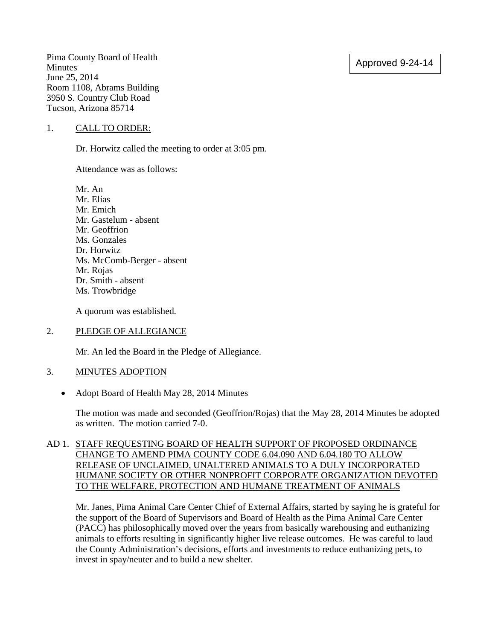## Approved 9-24-14

Pima County Board of Health Minutes June 25, 2014 Room 1108, Abrams Building 3950 S. Country Club Road Tucson, Arizona 85714

#### 1. CALL TO ORDER:

Dr. Horwitz called the meeting to order at 3:05 pm.

Attendance was as follows:

Mr. An Mr. Elías Mr. Emich Mr. Gastelum - absent Mr. Geoffrion Ms. Gonzales Dr. Horwitz Ms. McComb-Berger - absent Mr. Rojas Dr. Smith - absent Ms. Trowbridge

A quorum was established.

#### 2. PLEDGE OF ALLEGIANCE

Mr. An led the Board in the Pledge of Allegiance.

#### 3. MINUTES ADOPTION

• Adopt Board of Health May 28, 2014 Minutes

The motion was made and seconded (Geoffrion/Rojas) that the May 28, 2014 Minutes be adopted as written. The motion carried 7-0.

#### AD 1. STAFF REQUESTING BOARD OF HEALTH SUPPORT OF PROPOSED ORDINANCE CHANGE TO AMEND PIMA COUNTY CODE 6.04.090 AND 6.04.180 TO ALLOW RELEASE OF UNCLAIMED, UNALTERED ANIMALS TO A DULY INCORPORATED HUMANE SOCIETY OR OTHER NONPROFIT CORPORATE ORGANIZATION DEVOTED TO THE WELFARE, PROTECTION AND HUMANE TREATMENT OF ANIMALS

Mr. Janes, Pima Animal Care Center Chief of External Affairs, started by saying he is grateful for the support of the Board of Supervisors and Board of Health as the Pima Animal Care Center (PACC) has philosophically moved over the years from basically warehousing and euthanizing animals to efforts resulting in significantly higher live release outcomes. He was careful to laud the County Administration's decisions, efforts and investments to reduce euthanizing pets, to invest in spay/neuter and to build a new shelter.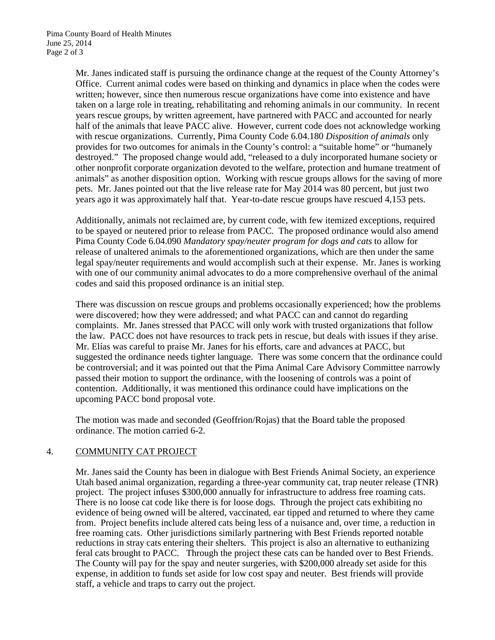Mr. Janes indicated staff is pursuing the ordinance change at the request of the County Attorney's Office. Current animal codes were based on thinking and dynamics in place when the codes were written; however, since then numerous rescue organizations have come into existence and have taken on a large role in treating, rehabilitating and rehoming animals in our community. In recent years rescue groups, by written agreement, have partnered with PACC and accounted for nearly half of the animals that leave PACC alive. However, current code does not acknowledge working with rescue organizations. Currently, Pima County Code 6.04.180 *Disposition of animals* only provides for two outcomes for animals in the County's control: a "suitable home" or "humanely destroyed." The proposed change would add, "released to a duly incorporated humane society or other nonprofit corporate organization devoted to the welfare, protection and humane treatment of animals" as another disposition option. Working with rescue groups allows for the saving of more pets. Mr. Janes pointed out that the live release rate for May 2014 was 80 percent, but just two years ago it was approximately half that. Year-to-date rescue groups have rescued 4,153 pets.

Additionally, animals not reclaimed are, by current code, with few itemized exceptions, required to be spayed or neutered prior to release from PACC. The proposed ordinance would also amend Pima County Code 6.04.090 *Mandatory spay/neuter program for dogs and cats* to allow for release of unaltered animals to the aforementioned organizations, which are then under the same legal spay/neuter requirements and would accomplish such at their expense. Mr. Janes is working with one of our community animal advocates to do a more comprehensive overhaul of the animal codes and said this proposed ordinance is an initial step.

There was discussion on rescue groups and problems occasionally experienced; how the problems were discovered; how they were addressed; and what PACC can and cannot do regarding complaints. Mr. Janes stressed that PACC will only work with trusted organizations that follow the law. PACC does not have resources to track pets in rescue, but deals with issues if they arise. Mr. Elías was careful to praise Mr. Janes for his efforts, care and advances at PACC, but suggested the ordinance needs tighter language. There was some concern that the ordinance could be controversial; and it was pointed out that the Pima Animal Care Advisory Committee narrowly passed their motion to support the ordinance, with the loosening of controls was a point of contention. Additionally, it was mentioned this ordinance could have implications on the upcoming PACC bond proposal vote.

The motion was made and seconded (Geoffrion/Rojas) that the Board table the proposed ordinance. The motion carried 6-2.

### 4. COMMUNITY CAT PROJECT

Mr. Janes said the County has been in dialogue with Best Friends Animal Society, an experience Utah based animal organization, regarding a three-year community cat, trap neuter release (TNR) project. The project infuses \$300,000 annually for infrastructure to address free roaming cats. There is no loose cat code like there is for loose dogs. Through the project cats exhibiting no evidence of being owned will be altered, vaccinated, ear tipped and returned to where they came from. Project benefits include altered cats being less of a nuisance and, over time, a reduction in free roaming cats. Other jurisdictions similarly partnering with Best Friends reported notable reductions in stray cats entering their shelters. This project is also an alternative to euthanizing feral cats brought to PACC. Through the project these cats can be handed over to Best Friends. The County will pay for the spay and neuter surgeries, with \$200,000 already set aside for this expense, in addition to funds set aside for low cost spay and neuter. Best friends will provide staff, a vehicle and traps to carry out the project.